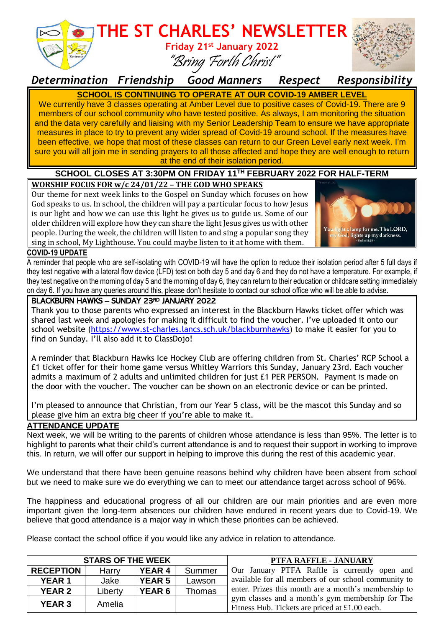

# **THE ST CHARLES' NEWSLETTER**





*Determination Friendship Good Manners Respect Responsibility*

**SCHOOL IS CONTINUING TO OPERATE AT OUR COVID-19 AMBER LEVEL** We currently have 3 classes operating at Amber Level due to positive cases of Covid-19. There are 9 members of our school community who have tested positive. As always, I am monitoring the situation and the data very carefully and liaising with my Senior Leadership Team to ensure we have appropriate measures in place to try to prevent any wider spread of Covid-19 around school. If the measures have been effective, we hope that most of these classes can return to our Green Level early next week. I'm sure you will all join me in sending prayers to all those affected and hope they are well enough to return at the end of their isolation period.

### **SCHOOL CLOSES AT 3:30PM ON FRIDAY 11 TH FEBRUARY 2022 FOR HALF-TERM**

#### **WORSHIP FOCUS FOR w/c 24/01/22 – THE GOD WHO SPEAKS**

Our theme for next week links to the Gospel on Sunday which focuses on how God speaks to us. In school, the children will pay a particular focus to how Jesus is our light and how we can use this light he gives us to guide us. Some of our older children will explore how they can share the light Jesus gives us with other people. During the week, the children will listen to and sing a popular song they sing in school, My Lighthouse. You could maybe listen to it at home with them.



#### **COVID-19 UPDATE**

A reminder that people who are self-isolating with COVID-19 will have the option to reduce their isolation period after 5 full days if they test negative with a lateral flow device (LFD) test on both day 5 and day 6 and they do not have a temperature. For example, if they test negative on the morning of day 5 and the morning of day 6, they can return to their education or childcare setting immediately on day 6. If you have any queries around this, please don't hesitate to contact our school office who will be able to advise.

#### BLACKBURN HAWKS - SUNDAY 23RD JANUARY 2022

Thank you to those parents who expressed an interest in the Blackburn Hawks ticket offer which was shared last week and apologies for making it difficult to find the voucher. I've uploaded it onto our school website [\(https://www.st-charles.lancs.sch.uk/blackburnhawks\)](https://www.st-charles.lancs.sch.uk/blackburnhawks) to make it easier for you to find on Sunday. I'll also add it to ClassDojo!

A reminder that Blackburn Hawks Ice Hockey Club are offering children from St. Charles' RCP School a £1 ticket offer for their home game versus Whitley Warriors this Sunday, January 23rd. Each voucher admits a maximum of 2 adults and unlimited children for just £1 PER PERSON. Payment is made on the door with the voucher. The voucher can be shown on an electronic device or can be printed.

I'm pleased to announce that Christian, from our Year 5 class, will be the mascot this Sunday and so please give him an extra big cheer if you're able to make it.

#### **ATTENDANCE UPDATE**

Next week, we will be writing to the parents of children whose attendance is less than 95%. The letter is to highlight to parents what their child's current attendance is and to request their support in working to improve this. In return, we will offer our support in helping to improve this during the rest of this academic year.

We understand that there have been genuine reasons behind why children have been absent from school but we need to make sure we do everything we can to meet our attendance target across school of 96%.

The happiness and educational progress of all our children are our main priorities and are even more important given the long-term absences our children have endured in recent years due to Covid-19. We believe that good attendance is a major way in which these priorities can be achieved.

Please contact the school office if you would like any advice in relation to attendance.

| <b>STARS OF THE WEEK</b> |         |               |        | PTFA RAFFLE - JANUARY                                                                              |
|--------------------------|---------|---------------|--------|----------------------------------------------------------------------------------------------------|
| <b>RECEPTION</b>         | Harry   | <b>YEAR 4</b> | Summer | Our January PTFA Raffle is currently open and                                                      |
| <b>YEAR1</b>             | Jake    | <b>YEAR 5</b> | Lawson | available for all members of our school community to                                               |
| <b>YEAR 2</b>            | Liberty | <b>YEAR 6</b> | Thomas | enter. Prizes this month are a month's membership to                                               |
| <b>YEAR 3</b>            | Amelia  |               |        | gym classes and a month's gym membership for The<br>Fitness Hub. Tickets are priced at £1.00 each. |